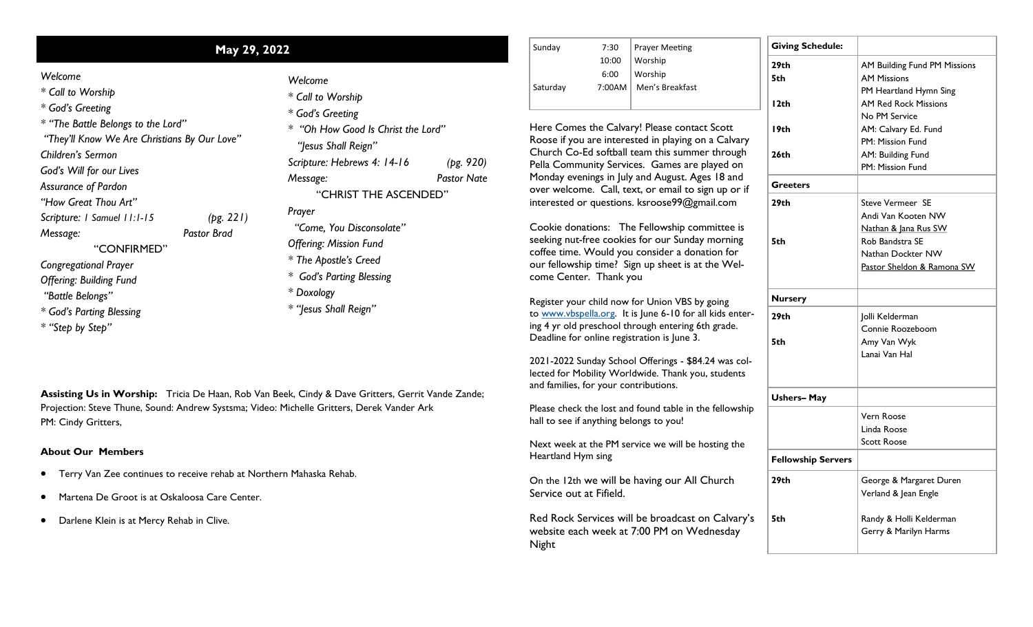|  |  | Welcome |
|--|--|---------|
|--|--|---------|

|                                                                                                                                                                                                                                                                                                                                                                                                                                        | May 29, 2022                    |                                                                                                                                                                                                                                                                                                                                                      |                                 | Sunday                                                                                                                                                                                                                                                                                                                                                                                       | 7:30<br>10:00 |
|----------------------------------------------------------------------------------------------------------------------------------------------------------------------------------------------------------------------------------------------------------------------------------------------------------------------------------------------------------------------------------------------------------------------------------------|---------------------------------|------------------------------------------------------------------------------------------------------------------------------------------------------------------------------------------------------------------------------------------------------------------------------------------------------------------------------------------------------|---------------------------------|----------------------------------------------------------------------------------------------------------------------------------------------------------------------------------------------------------------------------------------------------------------------------------------------------------------------------------------------------------------------------------------------|---------------|
| Welcome<br>* Call to Worship<br>* God's Greeting<br>* "The Battle Belongs to the Lord"<br>"They'll Know We Are Christians By Our Love"<br>Children's Sermon<br>God's Will for our Lives<br>Assurance of Pardon<br>"How Great Thou Art"<br>Scripture: I Samuel 11:1-15<br>Message:<br>"CONFIRMED"<br><b>Congregational Prayer</b><br><b>Offering: Building Fund</b><br>"Battle Belongs"<br>* God's Parting Blessing<br>* "Step by Step" | (pg. 221)<br><b>Pastor Brad</b> | Welcome<br>* Call to Worship<br>* God's Greeting<br>* "Oh How Good Is Christ the Lord"<br>"Jesus Shall Reign"<br>Scripture: Hebrews 4: 14-16<br>Message:<br>"CHRIST THE ASCENDED"<br>Prayer<br>"Come, You Disconsolate"<br><b>Offering: Mission Fund</b><br>* The Apostle's Creed<br>* God's Parting Blessing<br>* Doxology<br>* "Jesus Shall Reign" | (pg. 920)<br><b>Pastor Nate</b> | Saturday<br>Here Comes the Ca<br>Roose if you are inte<br>Church Co-Ed softb<br>Pella Community Se<br>Monday evenings in<br>over welcome. Call<br>interested or questio<br>Cookie donations:<br>seeking nut-free coo<br>coffee time. Would<br>our fellowship time?<br>come Center. Than<br>Register your child no<br>to www.vbspella.org.<br>ing 4 yr old preschoo<br>Deadline for online re | 6:00<br>7:00A |
| PM: Cindy Gritters,                                                                                                                                                                                                                                                                                                                                                                                                                    |                                 | Assisting Us in Worship: Tricia De Haan, Rob Van Beek, Cindy & Dave Gritters, Gerrit Vande Zande;<br>Projection: Steve Thune, Sound: Andrew Systsma; Video: Michelle Gritters, Derek Vander Ark                                                                                                                                                      |                                 | 2021-2022 Sunday Sc<br>lected for Mobility W<br>and families, for your<br>Please check the lost<br>hall to see if anything                                                                                                                                                                                                                                                                   |               |
|                                                                                                                                                                                                                                                                                                                                                                                                                                        |                                 |                                                                                                                                                                                                                                                                                                                                                      |                                 |                                                                                                                                                                                                                                                                                                                                                                                              |               |

**About Our Members**

- Terry Van Zee continues to receive rehab at Northern Mahaska Rehab.
- Martena De Groot is at Oskaloosa Care Center.
- Darlene Klein is at Mercy Rehab in Clive.

| 7:30   | <b>Prayer Meeting</b> |
|--------|-----------------------|
| 10:00  | Worship               |
| 6:00   | Worship               |
| 7:00AM | Men's Breakfast       |
|        |                       |
|        |                       |

nes the Calvary! Please contact Scott ou are interested in playing on a Calvary Co-Ed softball team this summer through Imunity Services. Games are played on venings in July and August. Ages 18 and ome. Call, text, or email to sign up or if  $\theta$  or questions. ksroose99@gmail.com

onations: The Fellowship committee is It-free cookies for our Sunday morning e. Would you consider a donation for  $v$ ship time? Sign up sheet is at the Welnter. Thank you

our child now for Union VBS by going  $b$ spella.org. It is June 6-10 for all kids enterd preschool through entering 6th grade.  $\overline{\text{or}}$  online registration is June 3.

2 Sunday School Offerings - \$84.24 was col-Mobility Worldwide. Thank you, students s, for your contributions.

ck the lost and found table in the fellowship if anything belongs to you!

Next week at the PM service we will be hosting the Heartland Hym sing

On the 12th we will be having our All Church Service out at Fifield.

Red Rock Services will be broadcast on Calvary's website each week at 7:00 PM on Wednesday Night

| <b>Giving Schedule:</b>   |                              |  |  |
|---------------------------|------------------------------|--|--|
| 29th                      | AM Building Fund PM Missions |  |  |
| 5th                       | <b>AM Missions</b>           |  |  |
|                           | PM Heartland Hymn Sing       |  |  |
| l 2th                     | <b>AM Red Rock Missions</b>  |  |  |
|                           | No PM Service                |  |  |
| l 9th                     | AM: Calvary Ed. Fund         |  |  |
|                           | PM: Mission Fund             |  |  |
| 26th                      | AM: Building Fund            |  |  |
|                           | PM: Mission Fund             |  |  |
| Greeters                  |                              |  |  |
| 29th                      | <b>Steve Vermeer SE</b>      |  |  |
|                           | Andi Van Kooten NW           |  |  |
|                           | Nathan & Jana Rus SW         |  |  |
| 5th                       | Rob Bandstra SE              |  |  |
|                           | Nathan Dockter NW            |  |  |
|                           | Pastor Sheldon & Ramona SW   |  |  |
| <b>Nursery</b>            |                              |  |  |
| 29th                      | Jolli Kelderman              |  |  |
|                           | Connie Roozeboom             |  |  |
| 5th                       | Amy Van Wyk                  |  |  |
|                           | Lanai Van Hal                |  |  |
|                           |                              |  |  |
| <b>Ushers-May</b>         |                              |  |  |
|                           | Vern Roose                   |  |  |
|                           | Linda Roose                  |  |  |
|                           | <b>Scott Roose</b>           |  |  |
| <b>Fellowship Servers</b> |                              |  |  |
| 29th                      | George & Margaret Duren      |  |  |
|                           | Verland & Jean Engle         |  |  |
| 5th                       | Randy & Holli Kelderman      |  |  |
|                           | Gerry & Marilyn Harms        |  |  |
|                           |                              |  |  |